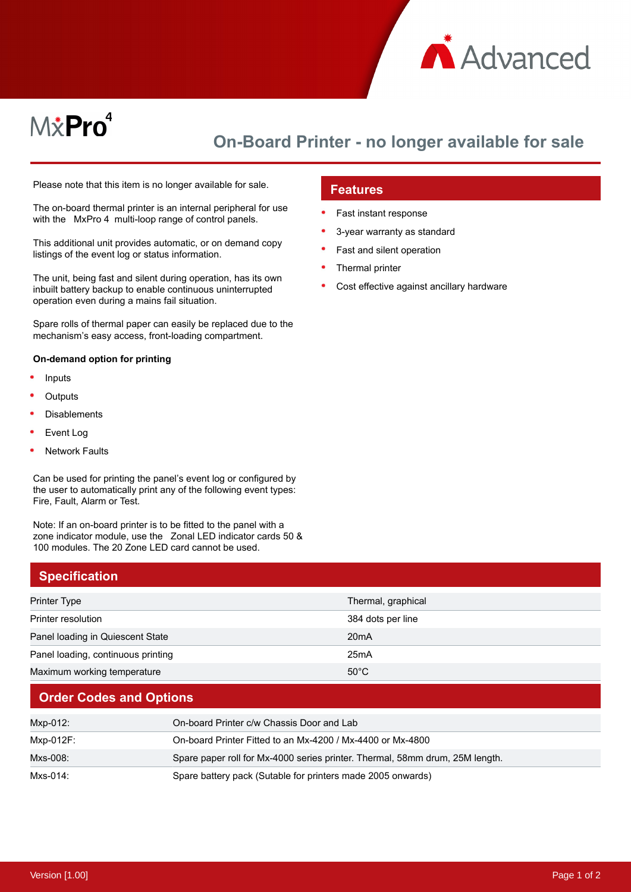

# M*\**Pro<sup>4</sup>

## **On-Board Printer - no longer available for sale**

Please note that this item is no longer available for sale.

The on-board thermal printer is an internal peripheral for use with the MxPro 4 multi-loop range of control panels.

This additional unit provides automatic, or on demand copy listings of the event log or status information.

The unit, being fast and silent during operation, has its own inbuilt battery backup to enable continuous uninterrupted operation even during a mains fail situation.

Spare rolls of thermal paper can easily be replaced due to the mechanism's easy access, front-loading compartment.

#### **On-demand option for printing**

- Inputs
- **Outputs**
- Disablements
- Event Log
- Network Faults

Can be used for printing the panel's event log or configured by the user to automatically print any of the following event types: Fire, Fault, Alarm or Test.

Note: If an on-board printer is to be fitted to the panel with a zone indicator module, use the Zonal LED indicator cards 50 & 100 modules. The 20 Zone LED card cannot be used.

## **Specification** Printer Type Thermal, graphical and the Thermal, graphical and the Thermal, graphical Printer resolution 384 dots per line Panel loading in Quiescent State 20mA Panel loading, continuous printing 25mA

Maximum working temperature 50°C

#### **Order Codes and Options**

| Mxp-012:  | On-board Printer c/w Chassis Door and Lab                                    |
|-----------|------------------------------------------------------------------------------|
| Mxp-012F: | On-board Printer Fitted to an Mx-4200 / Mx-4400 or Mx-4800                   |
| Mxs-008:  | Spare paper roll for Mx-4000 series printer. Thermal, 58mm drum, 25M length. |
| Mxs-014:  | Spare battery pack (Sutable for printers made 2005 onwards)                  |

#### **Features**

- Fast instant response
- 3-year warranty as standard
- Fast and silent operation
- Thermal printer
- Cost effective against ancillary hardware